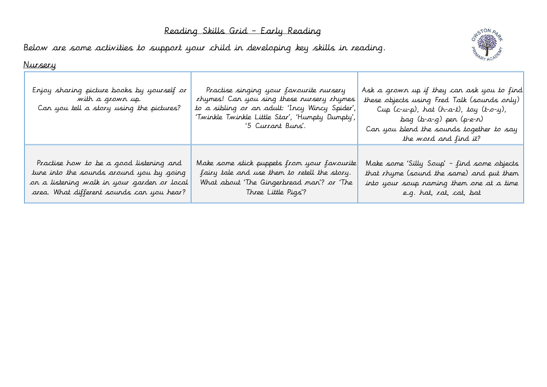## Reading Skills Grid – Early Reading

Below are some activities to support your child in developing key skills in reading.



## Nursery

| Enjoy sharing picture books by yourself or<br>with a grown up.<br>Can you tell a story using the pictures? | Practise singing your favourite nursery<br>rhymes! Can you sing these nursery rhymes<br>to a sibling or an adult: 'Incy Wincy Spider',<br>'Twinkle Twinkle Little Star', 'Humpty Dumpty', <br>'5 Currant Buns'. | Ask a grown up if they can ask you to find<br>these objects using Fred Talk (sounds only)<br>Cup (c-u-p), hat (h-a-t), toy (t-o-y),<br>bag (b-a-g) pen (p-e-n)<br>Can you blend the sounds together to say<br>the word and find it? |
|------------------------------------------------------------------------------------------------------------|-----------------------------------------------------------------------------------------------------------------------------------------------------------------------------------------------------------------|-------------------------------------------------------------------------------------------------------------------------------------------------------------------------------------------------------------------------------------|
| Practise how to be a good listening and                                                                    | Make some stick puppets from your favourite                                                                                                                                                                     | Make some 'Silly Soup' - find some objects                                                                                                                                                                                          |
| tune into the sounds around you by going                                                                   | fairy tale and use them to retell the story.                                                                                                                                                                    | that rhyme (sound the same) and put them                                                                                                                                                                                            |
| on a listening walk in your garden or local                                                                | What about 'The Gingerbread man'? or 'The                                                                                                                                                                       | into your soup naming them one at a time                                                                                                                                                                                            |
| area. What different sounds can you hear?                                                                  | Three Little Pigs'?                                                                                                                                                                                             | e.g. hat, rat, cat, bat                                                                                                                                                                                                             |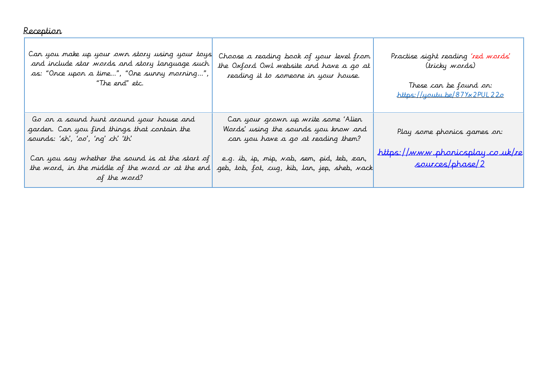## Reception

| Can you make up your own story using your toys<br>and include star words and story language such<br>as: "Once upon a time", "One survy marning",<br>"The end" etc.                                                                                     | Choose a reading book of your level from<br>the Oxford Owl website and have a go at<br>reading it to someone in your house.                                                                                      | Practise sight reading 'red words'<br>(tricky words)<br>These can be found on:<br>https://youtu.be/87Yx2PUL22o |
|--------------------------------------------------------------------------------------------------------------------------------------------------------------------------------------------------------------------------------------------------------|------------------------------------------------------------------------------------------------------------------------------------------------------------------------------------------------------------------|----------------------------------------------------------------------------------------------------------------|
| Go on a sound hunt around your house and<br>garden. Can you find things that contain the<br>sounds: 'sh', 'oo', 'ng' ch' 'th'<br>Can you say whether the sound is at the start of<br>the word, in the middle of the word or at the end<br>of the word? | Can your grown up write some 'Alien<br>Words' using the sounds you know and<br>can you have a go at reading them?<br>e.g. ib, ip, mip, vab, sem, pid, teb, zan,<br>geb, tob, fot, cug, kib, lan, jep, sheb, vack | Play some phonics games on:<br>https://www.phonicsplay.co.uk/re<br>sources/phase/2                             |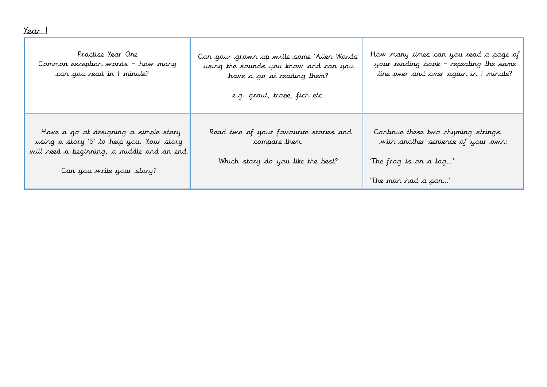| <u>Year I</u>                                                                                                                                                  |                                                                                                                                                   |                                                                                                                           |
|----------------------------------------------------------------------------------------------------------------------------------------------------------------|---------------------------------------------------------------------------------------------------------------------------------------------------|---------------------------------------------------------------------------------------------------------------------------|
| Practise Year One<br>Common exception words - how many<br>can you read in I minute?                                                                            | Can your grown up write some 'Alien Words'<br>using the sounds you know and can you<br>have a go at reading them?<br>e.g. grout, trape, fich etc. | How many times can you read a page of<br>your reading book - repeating the same<br>line over and over again in I minute?  |
| Have a go at designing a simple story<br>using a story 'S' to help you. Your story<br>will need a beginning, a middle and an end.<br>Can you write your story? | Read two of your favourite stories and<br>compare them.<br>Which story do you like the best?                                                      | Continue these two rhyming strings<br>with another sentence of your own:<br>'The frog is on a log'<br>'The man had a pan' |